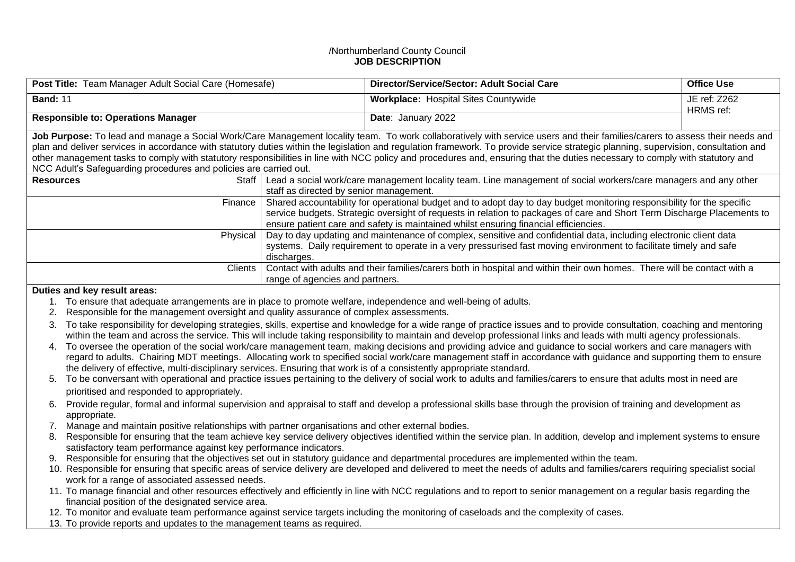## /Northumberland County Council **JOB DESCRIPTION**

| Post Title: Team Manager Adult Social Care (Homesafe)                                                                                                                                                                                                                                                                                                                                                                                                                                                                                                                                                                   |                                                                                                                                                                                                                                                                                                                                           | Director/Service/Sector: Adult Social Care                                                                              | <b>Office Use</b>         |  |  |
|-------------------------------------------------------------------------------------------------------------------------------------------------------------------------------------------------------------------------------------------------------------------------------------------------------------------------------------------------------------------------------------------------------------------------------------------------------------------------------------------------------------------------------------------------------------------------------------------------------------------------|-------------------------------------------------------------------------------------------------------------------------------------------------------------------------------------------------------------------------------------------------------------------------------------------------------------------------------------------|-------------------------------------------------------------------------------------------------------------------------|---------------------------|--|--|
| <b>Band: 11</b>                                                                                                                                                                                                                                                                                                                                                                                                                                                                                                                                                                                                         |                                                                                                                                                                                                                                                                                                                                           | <b>Workplace: Hospital Sites Countywide</b>                                                                             | JE ref: Z262<br>HRMS ref: |  |  |
| <b>Responsible to: Operations Manager</b>                                                                                                                                                                                                                                                                                                                                                                                                                                                                                                                                                                               |                                                                                                                                                                                                                                                                                                                                           | Date: January 2022                                                                                                      |                           |  |  |
| Job Purpose: To lead and manage a Social Work/Care Management locality team. To work collaboratively with service users and their families/carers to assess their needs and<br>plan and deliver services in accordance with statutory duties within the legislation and regulation framework. To provide service strategic planning, supervision, consultation and<br>other management tasks to comply with statutory responsibilities in line with NCC policy and procedures and, ensuring that the duties necessary to comply with statutory and<br>NCC Adult's Safeguarding procedures and policies are carried out. |                                                                                                                                                                                                                                                                                                                                           |                                                                                                                         |                           |  |  |
| Staff<br><b>Resources</b>                                                                                                                                                                                                                                                                                                                                                                                                                                                                                                                                                                                               | staff as directed by senior management.                                                                                                                                                                                                                                                                                                   | Lead a social work/care management locality team. Line management of social workers/care managers and any other         |                           |  |  |
| Finance                                                                                                                                                                                                                                                                                                                                                                                                                                                                                                                                                                                                                 | Shared accountability for operational budget and to adopt day to day budget monitoring responsibility for the specific<br>service budgets. Strategic oversight of requests in relation to packages of care and Short Term Discharge Placements to<br>ensure patient care and safety is maintained whilst ensuring financial efficiencies. |                                                                                                                         |                           |  |  |
| Physical                                                                                                                                                                                                                                                                                                                                                                                                                                                                                                                                                                                                                | Day to day updating and maintenance of complex, sensitive and confidential data, including electronic client data<br>systems. Daily requirement to operate in a very pressurised fast moving environment to facilitate timely and safe<br>discharges.                                                                                     |                                                                                                                         |                           |  |  |
| Clients                                                                                                                                                                                                                                                                                                                                                                                                                                                                                                                                                                                                                 | range of agencies and partners.                                                                                                                                                                                                                                                                                                           | Contact with adults and their families/carers both in hospital and within their own homes. There will be contact with a |                           |  |  |

## **Duties and key result areas:**

- 1. To ensure that adequate arrangements are in place to promote welfare, independence and well-being of adults.
- 2. Responsible for the management oversight and quality assurance of complex assessments.
- 3. To take responsibility for developing strategies, skills, expertise and knowledge for a wide range of practice issues and to provide consultation, coaching and mentoring within the team and across the service. This will include taking responsibility to maintain and develop professional links and leads with multi agency professionals.
- 4. To oversee the operation of the social work/care management team, making decisions and providing advice and guidance to social workers and care managers with regard to adults. Chairing MDT meetings. Allocating work to specified social work/care management staff in accordance with guidance and supporting them to ensure the delivery of effective, multi-disciplinary services. Ensuring that work is of a consistently appropriate standard.
- 5. To be conversant with operational and practice issues pertaining to the delivery of social work to adults and families/carers to ensure that adults most in need are prioritised and responded to appropriately.
- 6. Provide regular, formal and informal supervision and appraisal to staff and develop a professional skills base through the provision of training and development as appropriate.
- 7. Manage and maintain positive relationships with partner organisations and other external bodies.
- 8. Responsible for ensuring that the team achieve key service delivery objectives identified within the service plan. In addition, develop and implement systems to ensure satisfactory team performance against key performance indicators.
- 9. Responsible for ensuring that the objectives set out in statutory guidance and departmental procedures are implemented within the team.
- 10. Responsible for ensuring that specific areas of service delivery are developed and delivered to meet the needs of adults and families/carers requiring specialist social work for a range of associated assessed needs.
- 11. To manage financial and other resources effectively and efficiently in line with NCC regulations and to report to senior management on a regular basis regarding the financial position of the designated service area.
- 12. To monitor and evaluate team performance against service targets including the monitoring of caseloads and the complexity of cases.
- 13. To provide reports and updates to the management teams as required.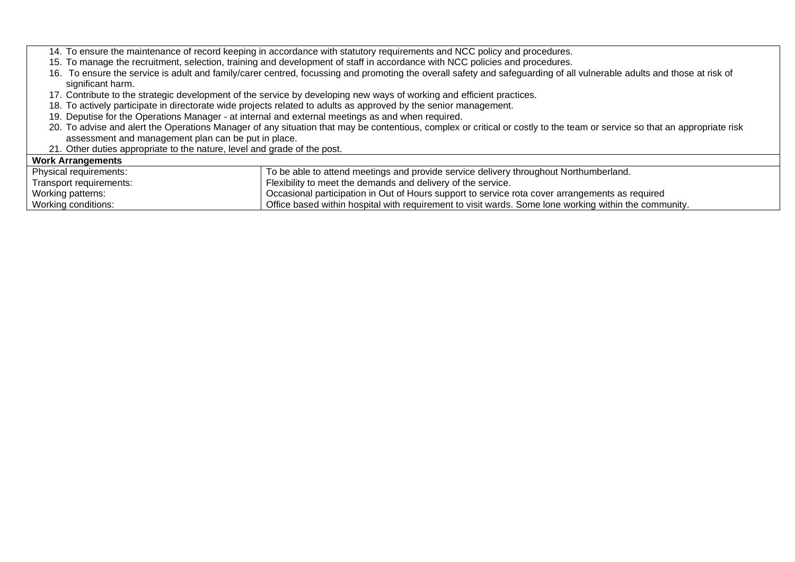14. To ensure the maintenance of record keeping in accordance with statutory requirements and NCC policy and procedures.

- 15. To manage the recruitment, selection, training and development of staff in accordance with NCC policies and procedures.
- 16. To ensure the service is adult and family/carer centred, focussing and promoting the overall safety and safeguarding of all vulnerable adults and those at risk of significant harm.
- 17. Contribute to the strategic development of the service by developing new ways of working and efficient practices.
- 18. To actively participate in directorate wide projects related to adults as approved by the senior management.
- 19. Deputise for the Operations Manager at internal and external meetings as and when required.
- 20. To advise and alert the Operations Manager of any situation that may be contentious, complex or critical or costly to the team or service so that an appropriate risk assessment and management plan can be put in place.
- 21. Other duties appropriate to the nature, level and grade of the post.

## **Work Arrangements**

| Physical requirements:  | To be able to attend meetings and provide service delivery throughout Northumberland.                 |
|-------------------------|-------------------------------------------------------------------------------------------------------|
| Transport requirements: | Flexibility to meet the demands and delivery of the service.                                          |
| Working patterns:       | Occasional participation in Out of Hours support to service rota cover arrangements as required       |
| Working conditions:     | Office based within hospital with requirement to visit wards. Some lone working within the community. |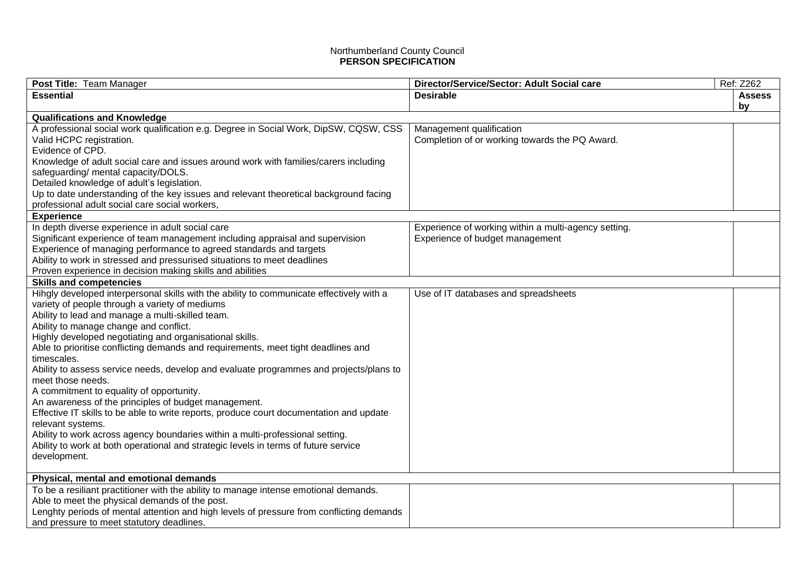## Northumberland County Council **PERSON SPECIFICATION**

| Post Title: Team Manager                                                                 | Director/Service/Sector: Adult Social care           | Ref: Z262     |
|------------------------------------------------------------------------------------------|------------------------------------------------------|---------------|
| <b>Essential</b>                                                                         | <b>Desirable</b>                                     | <b>Assess</b> |
|                                                                                          |                                                      | by            |
| <b>Qualifications and Knowledge</b>                                                      |                                                      |               |
| A professional social work qualification e.g. Degree in Social Work, DipSW, CQSW, CSS    | Management qualification                             |               |
| Valid HCPC registration.                                                                 | Completion of or working towards the PQ Award.       |               |
| Evidence of CPD.                                                                         |                                                      |               |
| Knowledge of adult social care and issues around work with families/carers including     |                                                      |               |
| safeguarding/ mental capacity/DOLS.                                                      |                                                      |               |
| Detailed knowledge of adult's legislation.                                               |                                                      |               |
| Up to date understanding of the key issues and relevant theoretical background facing    |                                                      |               |
| professional adult social care social workers,                                           |                                                      |               |
| <b>Experience</b>                                                                        |                                                      |               |
| In depth diverse experience in adult social care                                         | Experience of working within a multi-agency setting. |               |
| Significant experience of team management including appraisal and supervision            | Experience of budget management                      |               |
| Experience of managing performance to agreed standards and targets                       |                                                      |               |
| Ability to work in stressed and pressurised situations to meet deadlines                 |                                                      |               |
| Proven experience in decision making skills and abilities                                |                                                      |               |
| <b>Skills and competencies</b>                                                           |                                                      |               |
| Hihgly developed interpersonal skills with the ability to communicate effectively with a | Use of IT databases and spreadsheets                 |               |
| variety of people through a variety of mediums                                           |                                                      |               |
| Ability to lead and manage a multi-skilled team.                                         |                                                      |               |
| Ability to manage change and conflict.                                                   |                                                      |               |
| Highly developed negotiating and organisational skills.                                  |                                                      |               |
| Able to prioritise conflicting demands and requirements, meet tight deadlines and        |                                                      |               |
| timescales.                                                                              |                                                      |               |
| Ability to assess service needs, develop and evaluate programmes and projects/plans to   |                                                      |               |
| meet those needs.                                                                        |                                                      |               |
| A commitment to equality of opportunity.                                                 |                                                      |               |
| An awareness of the principles of budget management.                                     |                                                      |               |
| Effective IT skills to be able to write reports, produce court documentation and update  |                                                      |               |
| relevant systems.                                                                        |                                                      |               |
| Ability to work across agency boundaries within a multi-professional setting.            |                                                      |               |
| Ability to work at both operational and strategic levels in terms of future service      |                                                      |               |
| development.                                                                             |                                                      |               |
|                                                                                          |                                                      |               |
| Physical, mental and emotional demands                                                   |                                                      |               |
| To be a resiliant practitioner with the ability to manage intense emotional demands.     |                                                      |               |
| Able to meet the physical demands of the post.                                           |                                                      |               |
| Lenghty periods of mental attention and high levels of pressure from conflicting demands |                                                      |               |
| and pressure to meet statutory deadlines.                                                |                                                      |               |